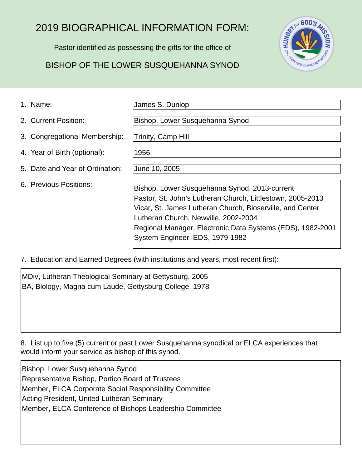## 2019 BIOGRAPHICAL INFORMATION FORM:

Pastor identified as possessing the gifts for the office of

## BISHOP OF THE LOWER SUSQUEHANNA SYNOD



James S. Dunlop

Trinity, Camp Hill

Bishop, Lower Susquehanna Synod

2. Current Position:

- 3. Congregational Membership:
- 4. Year of Birth (optional):
- 5. Date and Year of Ordination:
- 6. Previous Positions:

June 10, 2005

1956

Bishop, Lower Susquehanna Synod, 2013-current Pastor, St. John's Lutheran Church, Littlestown, 2005-2013 Vicar, St. James Lutheran Church, Bloserville, and Center Lutheran Church, Newville, 2002-2004 Regional Manager, Electronic Data Systems (EDS), 1982-2001 System Engineer, EDS, 1979-1982

7. Education and Earned Degrees (with institutions and years, most recent first):

MDiv, Lutheran Theological Seminary at Gettysburg, 2005 BA, Biology, Magna cum Laude, Gettysburg College, 1978

8. List up to five (5) current or past Lower Susquehanna synodical or ELCA experiences that would inform your service as bishop of this synod.

Bishop, Lower Susquehanna Synod Representative Bishop, Portico Board of Trustees Member, ELCA Corporate Social Responsibility Committee Acting President, United Lutheran Seminary Member, ELCA Conference of Bishops Leadership Committee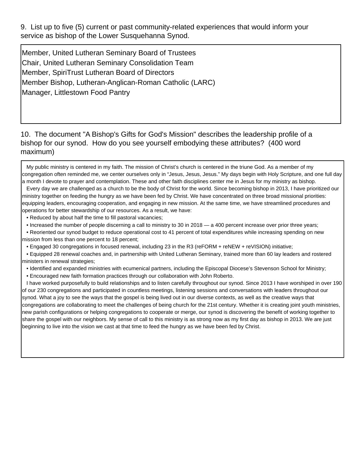9. List up to five (5) current or past community-related experiences that would inform your service as bishop of the Lower Susquehanna Synod.

Member, United Lutheran Seminary Board of Trustees Chair, United Lutheran Seminary Consolidation Team Member, SpiriTrust Lutheran Board of Directors Member Bishop, Lutheran-Anglican-Roman Catholic (LARC) Manager, Littlestown Food Pantry

10. The document "A Bishop's Gifts for God's Mission" describes the leadership profile of a bishop for our synod. How do you see yourself embodying these attributes? (400 word maximum)

 My public ministry is centered in my faith. The mission of Christ's church is centered in the triune God. As a member of my congregation often reminded me, we center ourselves only in "Jesus, Jesus, Jesus." My days begin with Holy Scripture, and one full day a month I devote to prayer and contemplation. These and other faith disciplines center me in Jesus for my ministry as bishop.

 Every day we are challenged as a church to be the body of Christ for the world. Since becoming bishop in 2013, I have prioritized our ministry together on feeding the hungry as we have been fed by Christ. We have concentrated on three broad missional priorities: equipping leaders, encouraging cooperation, and engaging in new mission. At the same time, we have streamlined procedures and operations for better stewardship of our resources. As a result, we have:

• Reduced by about half the time to fill pastoral vacancies;

• Increased the number of people discerning a call to ministry to 30 in 2018 — a 400 percent increase over prior three years;

 • Reoriented our synod budget to reduce operational cost to 41 percent of total expenditures while increasing spending on new mission from less than one percent to 18 percent;

• Engaged 30 congregations in focused renewal, including 23 in the R3 (reFORM + reNEW + reVISION) initiative;

 • Equipped 28 renewal coaches and, in partnership with United Lutheran Seminary, trained more than 60 lay leaders and rostered ministers in renewal strategies;

• Identified and expanded ministries with ecumenical partners, including the Episcopal Diocese's Stevenson School for Ministry;

• Encouraged new faith formation practices through our collaboration with John Roberto.

 I have worked purposefully to build relationships and to listen carefully throughout our synod. Since 2013 I have worshiped in over 190 of our 230 congregations and participated in countless meetings, listening sessions and conversations with leaders throughout our synod. What a joy to see the ways that the gospel is being lived out in our diverse contexts, as well as the creative ways that congregations are collaborating to meet the challenges of being church for the 21st century. Whether it is creating joint youth ministries, new parish configurations or helping congregations to cooperate or merge, our synod is discovering the benefit of working together to share the gospel with our neighbors. My sense of call to this ministry is as strong now as my first day as bishop in 2013. We are just beginning to live into the vision we cast at that time to feed the hungry as we have been fed by Christ.